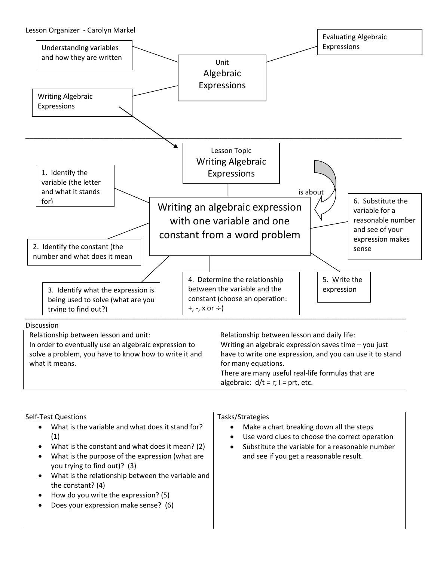

| <b>The contract of the contract of the contract of the contract of the contract of the contract of the contract o</b> |
|-----------------------------------------------------------------------------------------------------------------------|
| have to write one expression, and you can use it to stand                                                             |
| for many equations.                                                                                                   |
| There are many useful real-life formulas that are                                                                     |
| algebraic: $d/t = r$ ; $l = prt$ , etc.                                                                               |
|                                                                                                                       |

| <b>Self-Test Questions</b><br>What is the variable and what does it stand for?<br>(1)<br>What is the constant and what does it mean? (2)<br>What is the purpose of the expression (what are<br>you trying to find out)? (3)<br>What is the relationship between the variable and<br>the constant? (4)<br>How do you write the expression? (5)<br>Does your expression make sense? (6) | Tasks/Strategies<br>Make a chart breaking down all the steps<br>$\bullet$<br>Use word clues to choose the correct operation<br>$\bullet$<br>Substitute the variable for a reasonable number<br>$\bullet$<br>and see if you get a reasonable result. |
|---------------------------------------------------------------------------------------------------------------------------------------------------------------------------------------------------------------------------------------------------------------------------------------------------------------------------------------------------------------------------------------|-----------------------------------------------------------------------------------------------------------------------------------------------------------------------------------------------------------------------------------------------------|
|---------------------------------------------------------------------------------------------------------------------------------------------------------------------------------------------------------------------------------------------------------------------------------------------------------------------------------------------------------------------------------------|-----------------------------------------------------------------------------------------------------------------------------------------------------------------------------------------------------------------------------------------------------|